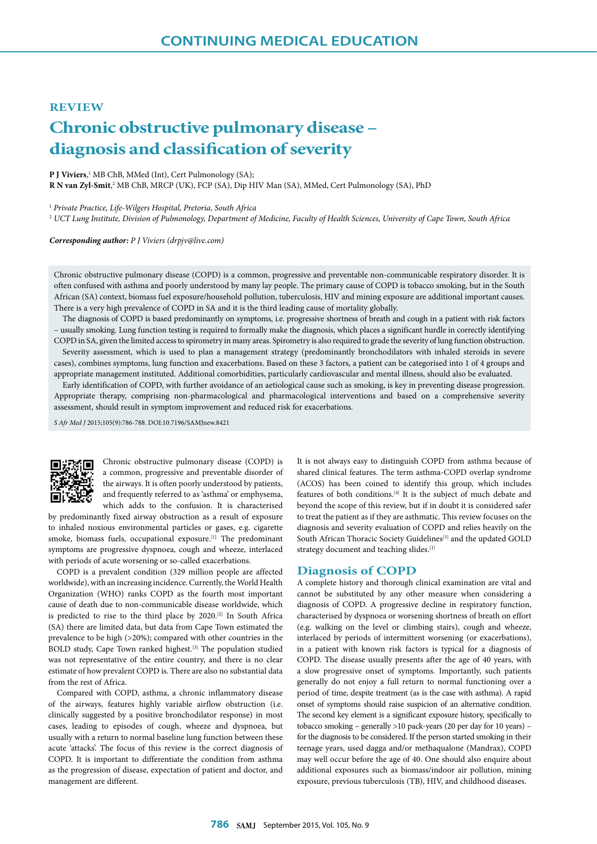## **REVIEW**

# **Chronic obstructive pulmonary disease – diagnosis and classification of severity**

**P J Viviers**, <sup>1</sup> MB ChB, MMed (Int), Cert Pulmonology (SA);

**R N van Zyl-Smit**,<sup>2</sup> MB ChB, MRCP (UK), FCP (SA), Dip HIV Man (SA), MMed, Cert Pulmonology (SA), PhD

<sup>1</sup> *Private Practice, Life-Wilgers Hospital, Pretoria, South Africa*

<sup>2</sup> *UCT Lung Institute, Division of Pulmonology, Department of Medicine, Faculty of Health Sciences, University of Cape Town, South Africa*

*Corresponding author: P J Viviers (drpjv@live.com)*

Chronic obstructive pulmonary disease (COPD) is a common, progressive and preventable non-communicable respiratory disorder. It is often confused with asthma and poorly understood by many lay people. The primary cause of COPD is tobacco smoking, but in the South African (SA) context, biomass fuel exposure/household pollution, tuberculosis, HIV and mining exposure are additional important causes. There is a very high prevalence of COPD in SA and it is the third leading cause of mortality globally.

The diagnosis of COPD is based predominantly on symptoms, i.e. progressive shortness of breath and cough in a patient with risk factors – usually smoking. Lung function testing is required to formally make the diagnosis, which places a significant hurdle in correctly identifying COPD in SA, given the limited access to spirometry in many areas. Spirometry is also required to grade the severity of lung function obstruction.

Severity assessment, which is used to plan a management strategy (predominantly bronchodilators with inhaled steroids in severe cases), combines symptoms, lung function and exacerbations. Based on these 3 factors, a patient can be categorised into 1 of 4 groups and appropriate management instituted. Additional comorbidities, particularly cardiovascular and mental illness, should also be evaluated.

Early identification of COPD, with further avoidance of an aetiological cause such as smoking, is key in preventing disease progression. Appropriate therapy, comprising non-pharmacological and pharmacological interventions and based on a comprehensive severity assessment, should result in symptom improvement and reduced risk for exacerbations.

*S Afr Med J* 2015;105(9):786-788. DOI:10.7196/SAMJnew.8421



Chronic obstructive pulmonary disease (COPD) is a common, progressive and preventable disorder of the airways. It is often poorly understood by patients, and frequently referred to as 'asthma' or emphysema, which adds to the confusion. It is characterised

by predominantly fixed airway obstruction as a result of exposure to inhaled noxious environmental particles or gases, e.g. cigarette smoke, biomass fuels, occupational exposure.[1] The predominant symptoms are progressive dyspnoea, cough and wheeze, interlaced with periods of acute worsening or so-called exacerbations.

COPD is a prevalent condition (329 million people are affected worldwide), with an increasing incidence. Currently, the World Health Organization (WHO) ranks COPD as the fourth most important cause of death due to non-communicable disease worldwide, which is predicted to rise to the third place by 2020.[2] In South Africa (SA) there are limited data, but data from Cape Town estimated the prevalence to be high (>20%); compared with other countries in the BOLD study, Cape Town ranked highest.[3] The population studied was not representative of the entire country, and there is no clear estimate of how prevalent COPD is. There are also no substantial data from the rest of Africa.

Compared with COPD, asthma, a chronic inflammatory disease of the airways, features highly variable airflow obstruction (i.e. clinically suggested by a positive bronchodilator response) in most cases, leading to episodes of cough, wheeze and dyspnoea, but usually with a return to normal baseline lung function between these acute 'attacks'. The focus of this review is the correct diagnosis of COPD. It is important to differentiate the condition from asthma as the progression of disease, expectation of patient and doctor, and management are different.

It is not always easy to distinguish COPD from asthma because of shared clinical features. The term asthma-COPD overlap syndrome (ACOS) has been coined to identify this group, which includes features of both conditions.<sup>[4]</sup> It is the subject of much debate and beyond the scope of this review, but if in doubt it is considered safer to treat the patient as if they are asthmatic. This review focuses on the diagnosis and severity evaluation of COPD and relies heavily on the South African Thoracic Society Guidelines<sup>[5]</sup> and the updated GOLD strategy document and teaching slides.<sup>[1]</sup>

### **Diagnosis of COPD**

A complete history and thorough clinical examination are vital and cannot be substituted by any other measure when considering a diagnosis of COPD. A progressive decline in respiratory function, characterised by dyspnoea or worsening shortness of breath on effort (e.g. walking on the level or climbing stairs), cough and wheeze, interlaced by periods of intermittent worsening (or exacerbations), in a patient with known risk factors is typical for a diagnosis of COPD. The disease usually presents after the age of 40 years, with a slow progressive onset of symptoms. Importantly, such patients generally do not enjoy a full return to normal functioning over a period of time, despite treatment (as is the case with asthma). A rapid onset of symptoms should raise suspicion of an alternative condition. The second key element is a significant exposure history, specifically to tobacco smoking – generally >10 pack-years (20 per day for 10 years) – for the diagnosis to be considered. If the person started smoking in their teenage years, used dagga and/or methaqualone (Mandrax), COPD may well occur before the age of 40. One should also enquire about additional exposures such as biomass/indoor air pollution, mining exposure, previous tuberculosis (TB), HIV, and childhood diseases.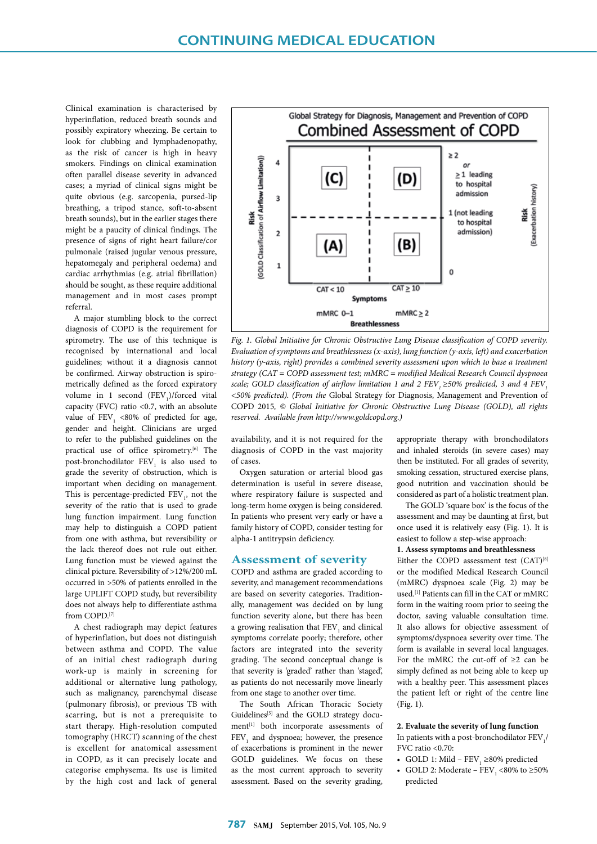Clinical examination is characterised by hyperinflation, reduced breath sounds and possibly expiratory wheezing. Be certain to look for clubbing and lymphadenopathy, as the risk of cancer is high in heavy smokers. Findings on clinical examination often parallel disease severity in advanced cases; a myriad of clinical signs might be quite obvious (e.g. sarcopenia, pursed-lip breathing, a tripod stance, soft-to-absent breath sounds), but in the earlier stages there might be a paucity of clinical findings. The presence of signs of right heart failure/cor pulmonale (raised jugular venous pressure, hepatomegaly and peripheral oedema) and cardiac arrhythmias (e.g. atrial fibrillation) should be sought, as these require additional management and in most cases prompt referral.

A major stumbling block to the correct diagnosis of COPD is the requirement for spirometry. The use of this technique is recognised by international and local guidelines; without it a diagnosis cannot be confirmed. Airway obstruction is spirometrically defined as the forced expiratory volume in 1 second  $(FEV_{1})$ /forced vital capacity (FVC) ratio <0.7, with an absolute value of  $FEV<sub>1</sub> < 80%$  of predicted for age, gender and height. Clinicians are urged to refer to the published guidelines on the practical use of office spirometry.<sup>[6]</sup> The post-bronchodilator  $\text{FEV}_1$  is also used to grade the severity of obstruction, which is important when deciding on management. This is percentage-predicted  $\text{FEV}_1$ , not the severity of the ratio that is used to grade lung function impairment. Lung function may help to distinguish a COPD patient from one with asthma, but reversibility or the lack thereof does not rule out either. Lung function must be viewed against the clinical picture. Reversibility of >12%/200 mL occurred in >50% of patients enrolled in the large UPLIFT COPD study, but reversibility does not always help to differentiate asthma from COPD.[7]

A chest radiograph may depict features of hyperinflation, but does not distinguish between asthma and COPD. The value of an initial chest radiograph during work-up is mainly in screening for additional or alternative lung pathology, such as malignancy, parenchymal disease (pulmonary fibrosis), or previous TB with scarring, but is not a prerequisite to start therapy. High-resolution computed tomography (HRCT) scanning of the chest is excellent for anatomical assessment in COPD, as it can precisely locate and categorise emphysema. Its use is limited by the high cost and lack of general



*Fig. 1. Global Initiative for Chronic Obstructive Lung Disease classification of COPD severity. Evaluation of symptoms and breathlessness (x-axis), lung function (y-axis, left) and exacerbation history (y-axis, right) provides a combined severity assessment upon which to base a treatment strategy (CAT = COPD assessment test; mMRC = modified Medical Research Council dyspnoea scale; GOLD classification of airflow limitation 1 and 2 FEV, ≥50% predicted, 3 and 4 FEV, <50% predicted). (From the* Global Strategy for Diagnosis, Management and Prevention of COPD 2015*, © Global Initiative for Chronic Obstructive Lung Disease (GOLD), all rights reserved. Available from http://www.goldcopd.org.)*

availability, and it is not required for the diagnosis of COPD in the vast majority of cases.

Oxygen saturation or arterial blood gas determination is useful in severe disease, where respiratory failure is suspected and long-term home oxygen is being considered. In patients who present very early or have a family history of COPD, consider testing for alpha-1 antitrypsin deficiency.

## **Assessment of severity**

COPD and asthma are graded according to severity, and management recommendations are based on severity categories. Traditionally, management was decided on by lung function severity alone, but there has been a growing realisation that  $\mathrm{FEV}_1$  and clinical symptoms correlate poorly; therefore, other factors are integrated into the severity grading. The second conceptual change is that severity is 'graded' rather than 'staged', as patients do not necessarily move linearly from one stage to another over time.

The South African Thoracic Society Guidelines<sup>[5]</sup> and the GOLD strategy document<sup>[1]</sup> both incorporate assessments of  $FEV<sub>1</sub>$  and dyspnoea; however, the presence of exacerbations is prominent in the newer GOLD guidelines. We focus on these as the most current approach to severity assessment. Based on the severity grading,

appropriate therapy with bronchodilators and inhaled steroids (in severe cases) may then be instituted. For all grades of severity, smoking cessation, structured exercise plans, good nutrition and vaccination should be considered as part of a holistic treatment plan.

The GOLD 'square box' is the focus of the assessment and may be daunting at first, but once used it is relatively easy (Fig. 1). It is easiest to follow a step-wise approach:

#### **1. Assess symptoms and breathlessness**

Either the COPD assessment test (CAT)<sup>[8]</sup> or the modified Medical Research Council (mMRC) dyspnoea scale (Fig. 2) may be used.[1] Patients can fill in the CAT or mMRC form in the waiting room prior to seeing the doctor, saving valuable consultation time. It also allows for objective assessment of symptoms/dyspnoea severity over time. The form is available in several local languages. For the mMRC the cut-off of ≥2 can be simply defined as not being able to keep up with a healthy peer. This assessment places the patient left or right of the centre line (Fig. 1).

## **2. Evaluate the severity of lung function** In patients with a post-bronchodilator  $\text{FEV}_1$ /

- FVC ratio  $< 0.70$ :
- GOLD 1: Mild  $FEV_1 \ge 80\%$  predicted
- GOLD 2: Moderate  $\text{FEV}_1$  <80% to  $\geq$ 50% predicted